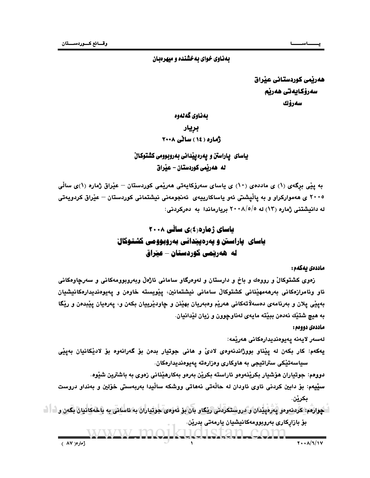# بهناوی خوای بهخشنده و میهرهبان

هەريمى كوردستانى عيراق سەرۆكايەتى ھەرپم سەرۆك

# بەناوي گەلەوە بريار أماره (١٤) سائي ٢٠٠٨

# ياسای پاراستن و پهره پيدانی بهروبوومی کشتوکالْ له هەرپمى كوردستان – عيراق

به پێی برگەی (۱) ی ماددەی (۱۰) ی یاسای سەرۆکایەتی ھەرێمی کوردستان – عێراق ژمارە (۱)ی ساڵی ۲۰۰۵ ی هەموارکراو و به یاڵیشتی ئەو یاساکارییەی ئەنجومەنی نیشتمانی کوردستان – عی٘راق کردویەتی له دانیشتنی ژماره (۱۳) له ۰/۰۸/٥/٥ بریارماندا به دەركردنی:

# یاسای ژهاره(٤)ی سالّی ۲۰۰۸ یاسای یاراستن و یهرهیپندانی بهروبوومی کشتوکال له هەرتمى كوردستان – عيراق

### ماددەى يەكەم :

زەوى كشتوكالْ و رووەك و باخ و دارستان و لەوەرگاو سامانى ئاژەلْ وبەروبوومەكانى و سەرچاوەكانى ئاو وئامرازەكانى بەرھەمھێنانى كشتوكاڵ سامانى نيشتمانين، يێويستە خاوەن و يەيوەنديدارەكانيشيان بهيٽي يلان و بهرنامهي دمسهلاتهکاني ههريم وهبهريان بهينن و چاودپرييان بکهن و، پهرهيان پيبدهن و ريگا به هيچ شتيْك نەدەن بېيّتە مايەي لەناوچوون و زيان ليْدانيان.

## ماددەي دوومم :

لەسەر لايەنە يەيوەنديدارەكانى ھەرێمە:

يهکهم: کار بکهن له ييْناو بووژاندنهوهي لاديّ و هاني جوتيار بدهن بوّ گهرانهوه بوّ لاديْکانيان بهييّي سياسەتێکى ستراتيجى بە ھاوكارى وەزارەتە يەيوەنديدارەكان.

دووهم: جوتياران هوشيار بِكريْنِهوهو ئاراسته بِكريْن بِهرهو بِهكارِهيْناني زەوي بِه باشترين شَيْوه.

سٽيهم: بۆ داين کردني ئاوي ئاودان له حاٽهتي نههاتي ووشکه ساٽيدا بهريهستي خۆلين و بهنداو دروست بڪرين.

گهرارهم: کردنهودو پهرهپیدان و دروستکردنی ریکاو بان بو ئەوەي جوتياران به ئاسانی به باخەکانيان بگەن و <sup>1</sup> ا بۆ بازاركارى بەروبوومەكانيشيان يارمەتى بدرێن.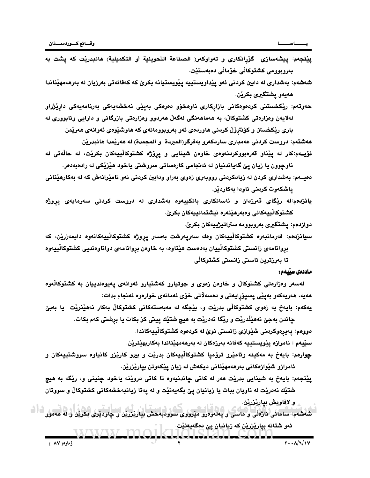0/AD میں سامائی ناژهائی و ماسی و پهلەوەرو میرووی سوودبەخش بپاریزرین و چاودیر*ی* بکرین و له هەموو سوالوجه، في بعضهن بازدين من المالي المالي المالي المالي المالي المالي المالي المالي المالي المالي المالي المال<br>المالي المالي المالي المالي المالي المالي المالي المالي المالي المالي المالي المالي المالي المالي المالي المال ئەو شتانە بياريْزريْن كە زيانيان پێ دەگەيەنێت. و لافاويش بياريْزريْن.

**پێنجهم**: بايهخ به شينايي بدرێت هەر له کاتی چاندنيەوه تا کاتی دروێنه ياخود چنينی و، رێگه به هيچ شتيّك نهدريّت له ناويان ببات يا زيانيان يێ بگهيهنيّت و له يهتا زيانبهخشهكاني كشتوكالّ و سووتان

سێيهم : ئامرازە يێويستييه كەڧائە بەرزەكان لە بەرھەمھێناندا بەكاربھێنرێن. <mark>چوارمم</mark>: بايەخ بە مەكينە وئامێرو ترۆميا كشتوكاڵييەكان بدرێت و بيرو كارێزو كانياوە سروشتييەكان و ئامرازو شێوازەكانى بەرھەمھێنانى ديكەش لە زيان يێكەوتن بيارێزرێن.

دووهم: پەيرەوكردنى شێوازى زانستى نوێ لە كردەوە كشتوكاڵييەكاندا.

هەيە، ھەريەكەو بەپێى پسپۆرايەتى و دەسەلاتى خۆى ئەمانەى خوارەوە ئەنجام بدات: **یهکهم: ب**ایهخ به ز*هوی* کشتوکالْی بدریْت و، بیْجگه له مهبهستهکانی کشتوکالْ بهکار نههیْنریْت یا بهبیّ چاندن بهجيّ نههيّڵدريّت و ريّگا نهدريّت به هيچ شتيّك ييتي كز بكات يا برشتي كهم بكات.

لەسەر وەزارەتى كشتوكالْ و خاوەن زەوى و جوتيارو كەشتيارو ئەوانەى پەيوەندييان بە كشتوكالْەوە

تا بەرزترين ئاستى زانستى كشتوكالّى.

**دوازدهم: يشت**گيری بەروبوومە ستراتيژييەكان بكرێ. **سيانزدمم**: فەرمانبەرە كشتوكالْييەكان وەك سەريەرشت بەسەر يروژە كشتوكالْييەكانەوە دابمەزرێن، كە بروانامهی زانستی کشتوکالْییان بهدهست هیّناوه، به خاوهن بروانامهی دواناوهندیی کشتوکالْییهوه

كشتوكالْييەكانى وەبەرھێنەرە نيشتمانييەكان بكرێ.

ياشكەوت كردنى ئاودا بەكاردێن. **يانزدهم**:له ريْگاى قەرزدان و ئاسانكارى بانكييەوە بەشدارى لە دروست كردنى سەرمايەى يروژ*ه* 

ناوچوون يا زيان يێ گەياندنيان لە ئەنجامى كارەساتى سروشتى ياخود ھێزێکى لە رادەبەدەر. دهیسهم: بهشداری کردن له زیادکردنی رووبهری زهوی بهراو ودابین کردنی ئهو ئامیرانهش که له بهکارهینانی

ه**هشتهم:** دروست كردنى عهمبارى ساردكهرو بهفرگر(المبردة و المجمدة) له هەريمدا هانبدرين. **نۆيــه**م:كار له يێناو قەرەبووكردنەوەي خاوەن شينايى و يرۆژە كشتوكالْييەكان بكرێت، لە حالْەتى لە

باري ريْكخستن و كۆنترۆلْ كردنى ھاوردەي ئەو بەروبوومانەي كە ھاوشيْوەي ئەوانەي ھەريْمن.

<mark>ھەوتەم</mark>: ریکخستنی کردەوەکانی بازارکاری ناوەخۆو دەرەکی بەيێی نەخشەيەکی بەرنامەيەکی داریٚژراو لەلايەن وەزارەتى كشتوكالْ، بە ھەماھەنگى لەگەلْ ھەردوو وەزارەتى بازرگانى و دارايى وئابوورى لە

بەروبوومى كشتوكالْي خۆمالْي دەبەستێت. **شەشەم**: بەشدارى لە دابين كردنى ئەو يێداويستييە پێويستيانە بكرێ كە كەفائەتى بەرزيان لە بەرھەمھێناندا

**يِيْنجِهم:** ييشهسازى گۆرانكارى و تەواوكەر( الصناعة التحويلية أو التكميلية) هانبدريْت كه يشت به

ھەيەو يشتگي*رى* بكرين.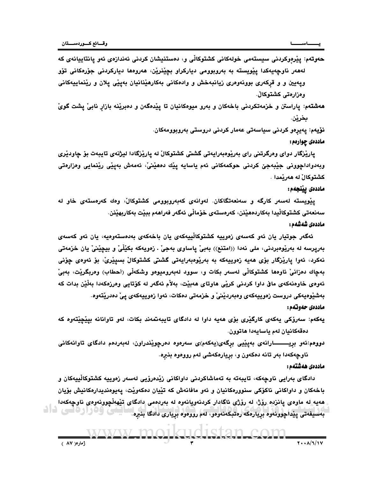ح**ەوتەم**: يێرەوكردنى سيستەمى خولەكانى كشتوكالى و، دەستنيشان كردنى ئەندازەى ئەو يانتاييانەى كە لەھەر ناوچەيەكدا يێويستە بە بەروبوومى دياركراو بچێنرێن، ھەروەھا دياركردنى جۆرەكانى تۆو ويهيين و و قركەرى بوونەوەرى زيانبەخش و وادەكانى بەكارھێنانيان بەيێى يلان و رێنماييەكانى وهزارهتي كشتوكالْ.

ههشتهم: ياراستن و خزمهتكردني باخهكان و بهرو ميوهكانيان تا ييْدەگەن و دەبريْنه بازار نابيْ يشت گويْ بخريْن.

نۆيەم: يەيرەو كردنى سياسەتى عەمار كردنى دروستى بەروبوومەكان.

### ماددەى چوارەم :

يارپْرْگار دواي وەرگرتنى راي بەرپْوەبەرايەتى گشتى كشتوكالْ له يارپْرْگادا ليژنەي تايبەت بۆ چاودپْرى وبەدواداچوونى جێبەجێ كردنى حوكمەكانى ئەم ياسايە پێك دەھێنىٚ، ئەمەش بەپێى رێنمايى وەزارەتى كشتوكالٌ له هەريْمدا .

# ماددەى يېنجەم:

يێويسته لەسەر كارگە و سەنعەتگاكان. لەوانەي كەبەروبوومى كشتوكالْ، وەك كەرەستەي خاو لە سەنعەتى كشتوكالْيدا بەكاردەھێنن، كەرەستەي خۆمالّى ئەگەر فەراھەم ببێت بەكاربھێنن.

### ماددەى شەشەم :

العقاد الموارد التي يتوفق الموارد التي يتوفق الموارد التي تنظير الموارد التي تنظير الموارد التي تنظير التي تنظ<br>التي يتم التي تنظير التي تنظير التي تنظير الموارد التقالي به التي يتم التي تنظير التي تنظير التي تنظير التي تن ئەگەر جوتيار يان ئەو كەسەي زەوييە كشتوكالْپيەكەي يان باخەكەي بەدەستەوەيە، يان ئەو كەسەي بەرپرسە لە بەريوەبردنى، ملى نەدا ((امتنع)) بەبىؒ پاساوى بەجىؒ . زەويەكە بكێڵێٛ و بيچێنێ يان خزمەتى نەكرد، ئەوا يارێزگار بۆي ھەيە زەوييەكە بە بەرێوەبەرايەتى گشتى كشتوكالْ بسيێرىْ، بۆ ئەوەي چۆنى بەڃاك دەزانىّ ئاوەھا كشتوكالّى لەسەر بكات و، سوود لەبەروميوەو وشكەلّى (أحطاب) وەربگريْت، بەبىّ ئەوەي خاوەنەكەي ماڧ داوا كردنى كرێي ھاوتاي ھەبێت، بەلأم ئەگەر لە كۆتايى وەرزەكەدا بەڵێن بدات كە بەشێوەيەكى دروست زەوييەكەي وەبەردێنى و خزمەتى دەكات، ئەوا زەوييەكەي يى دەدرێتەوە.

- يهکهم: سەرۆکى يەکەي کارگێرى بۆي ھەيە داوا لە دادگاي تايبەتمەند بکات، لەو تاوانانە بيێڃێتەوە کە دەقەكانيان لەم ياسايەدا ھاتوون.
- دووهم:ئەو بريــــــارانەي بەپێيى برگەي(يەكەم)ى سەرەوە دەرچوێندراون، لەبەردەم دادگاى تاوانەكانى ناوچەكەدا بەر تانە دەكەون و، بريارەكەشى لەم رووەوە بنبرە.

### ماددەى ھەشتەم :

وەرارەتى داد دادگای بەرايى ناوچەكە، تايبەتە بە تەماشاكردنى داواكانى زێدەرۆيى لەسەر زەوييە كشتوكاڵييەكان و باخهکان و داواکانی ناکوْکی سنوورهکانیان و ئەو مافانەش کە تێيان دەکەوێت، يەيوەنديدارەکانیش بۆيان ههيه له ماوەي يانزده رۆژ، له رۆژي ئاگادار كردنەويانەوه له بەردەمى دادگاي تێهەڵچوونەوەي ناوچەكەدا بەسىفەتى پێداچوونەوە بڕيارەكە رەتبكەنەوەو، لەم رووەوە بڕيارى دادگا بنڕە.<br>ا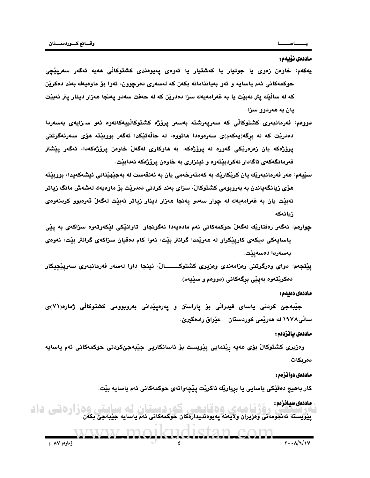## ماددەى نۆىمە:

- يهکهم: خاوەن زەوی يا جوتيار يا کەشتيار يا ئەوەی يەيوەندی کشتوکالّی ھەيە ئەگەر سەريێڃی حوكمهكاني ئهم ياسايه و ئەو بەياننامانه بكەن كە لەسەرى دەرچوون، ئەوا بۆ ماوەيەك بەند دەكرين كه له سالْيْك يتر نەبيّت يا به غەرامەيەك سزا دەدريّن كە لە حەفت سەدو يەنجا ھەزار دينار يتر نەبيّت يان به هەردوو سزا.
- **دوومم: ف**ەرمانبەرى كشتوكالْي كە سەريەرشتە بەسەر يرۆژە كشتوكالْييەكانەوە ئەو سىزايەي بەسەردا دەدريْت كە لە برگە(يەكەم)ى سەرەوەدا ھاتووە، لە حالْەتيْكدا ئەگەر بووبيّتە ھۆى سەرنەگرتنى پرۆژەكە يان زەرەريكى گەورە لە پرۆژەكە. بە ھاوكارى لەگەلْ خاوەن پرۆژەكەدا، ئەگەر پيْشتر فەرمانگەكەي ئاگادار نەكردېيتەوە و ئينزارى بە خاوەن پرۆژەكە نەدابيت.
- س**ٽيبه**م: هەر فەرمانبەرپْك يان كرپْكارپْك بە كەمتەرخەمى يان بە ئەنقەست لە بەجپْهيْنانى ئيشەكەيدا، بووبيْتە هۆي زيانگەياندن بە بەروبومى كشتوكالْ، سزاي بەند كردنى دەدريْت بۆ ماوەيەك لەشەش مانگ زياتر نهبيّت يان به غەرامەيەك لە چوار سەدو پەنجا ھەزار دينار زياتر نەبيّت لەگەلْ قەرەبوو كردنەوەي زىانەكە.
- جوارهم: شكار ردفقاريك امكان حركمكافى ثم ماديهادا نكوتيكاو. تاوانيكى ليكونتاوه سزاكادي به يقى<br>بالمواجه المواجه التي تكاول كاربيكوارك نه مدينها كراتتر بيّت، ندوا كام دقيان سزاكاى كراتتر بيّت، ندودى<br>بالمواجه المواجه التي تكو **چوارەم**: ئەگەر رەفتاريك لەگەلْ حوكمەكانى ئەم مادەيەدا نەگونجاو. تاوانىكى لىكەوتەوە سىزاكەي بە يىي ياسايهکي ديکهي کاريٽِکراو له هەرٽِمدا گرانتر بِيْت، ئەوا کام دەقيان سزاکەي گرانتر بِيْت، ئەوەي بەسەردا دەسەيێت.
	- **ييْنجهم:** دواي وەرگرتني رەزامەندي وەزيري كشتوكـــــــالْ، ئينجا داوا لەسەر فەرمانبەري سەريێڇيكار دهکريکتهوه بهيێي برگهکاني (دووهم و سێيهم).

## -

جێبەجێ كردنى ياساي فيدراڵى بۆ ياراستن و يەرەيێدانى بەروبوومى كشتوكاڵى ژمارە(٧١)ى سالْي1۹۷۸ له هەريْمى كوردستان — عيْراق رادەگيرىْ.

وەزيرى كشتوكالْ بۆي ھەيە رِيْنمايى پِيْويست بۆ ئاسانكاريى جِيْبەجىْكردنى حوكمەكانى ئەم ياسايە دەربكات.

كار بەھيچ دەقێكى ياسايي يا بريارێك ناكرێت يێڃەوانەي حوكمەكانى ئەم ياسايە بێت.

افزارفانی ڈاڈ<br>ش //d?6XQ/v:6hC3:/610E01/Z6G/M076[79\/?07=2UL1LM=916D/6M61</?UO1>=</M6S9c6G/6419C3D//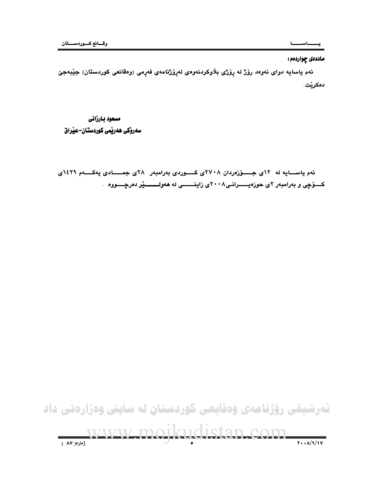# ماددهی چواردهم:

ئهم ياسايه دواي نەوەد رۆژ له رۆژي بلاّوكردنەوەي لەروزنامەي فەرمى (وەقائعى كوردستان) جێبەجێ دەكرێت.

مسعود بارزاني سەرۆكى ھەرپمى كوردستان–عيراق

ئهم یاسسایه له ۱۲ی جـــوْزەردان ۲۷۰۸ی کـــوردی بهرامبهر ۲۸ی جمــــادی یهکـــهم ۱٤۲۹ی کــــوّـــوّـــــون و به رام دول و عوره پــــــــــول ما بارسال برای است.<br>کـــــوّـــول و به رامبه ر ۲ی حوزه پـــــــــرانـــی ۲۰۰۸ی زاینــــــــــی له ههولــــــــــــ<mark>یّر</mark> ده

 $\sim$   $\sim$   $\sim$   $\sim$   $\sim$   $\sim$   $\sim$ ئەرشیفی رۆژنامەی وەقايعی كوردستان له سايتی وەزارەتی داد 

 !!!"#\$%&'()\*+,-".\$#